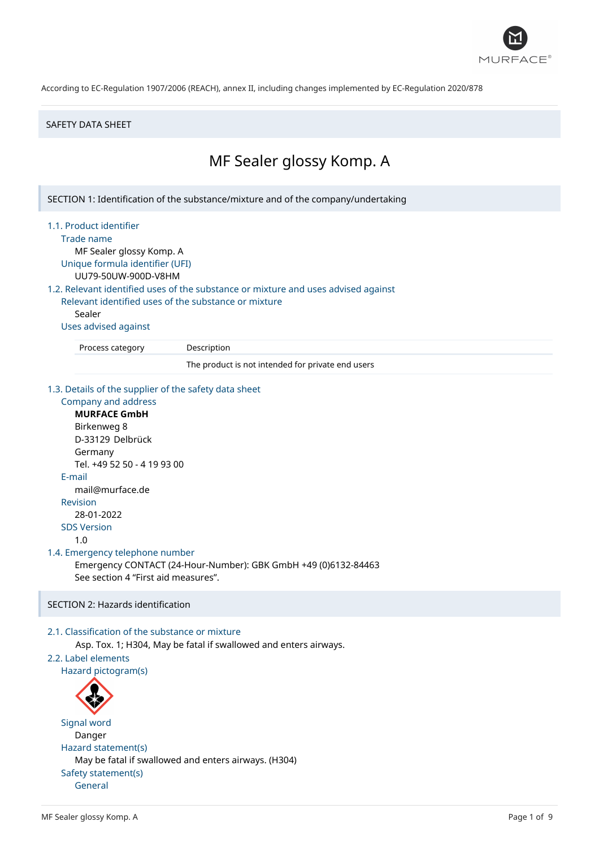

#### SAFETY DATA SHEET

# MF Sealer glossy Komp. A

SECTION 1: Identification of the substance/mixture and of the company/undertaking

#### 1.1. Product identifier

Trade name

MF Sealer glossy Komp. A Unique formula identifier (UFI)

UU79-50UW-900D-V8HM

# 1.2. Relevant identified uses of the substance or mixture and uses advised against

Relevant identified uses of the substance or mixture Sealer

Uses advised against

Process category Description

The product is not intended for private end users

#### 1.3. Details of the supplier of the safety data sheet

```
Company and address
     MURFACE GmbH
     Birkenweg 8
     D-33129 Delbrück
     Germany
     Tel. +49 52 50 - 4 19 93 00
  E-mail
     mail@murface.de
  Revision
     28-01-2022
  SDS Version
     1.0
1.4. Emergency telephone number
     Emergency CONTACT (24-Hour-Number): GBK GmbH +49 (0)6132-84463
     See section 4 "First aid measures".
```
# SECTION 2: Hazards identification

# 2.1. Classification of the substance or mixture

Asp. Tox. 1; H304, May be fatal if swallowed and enters airways.

# 2.2. Label elements

Hazard pictogram(s)



Signal word Danger Hazard statement(s) May be fatal if swallowed and enters airways. (H304) Safety statement(s) General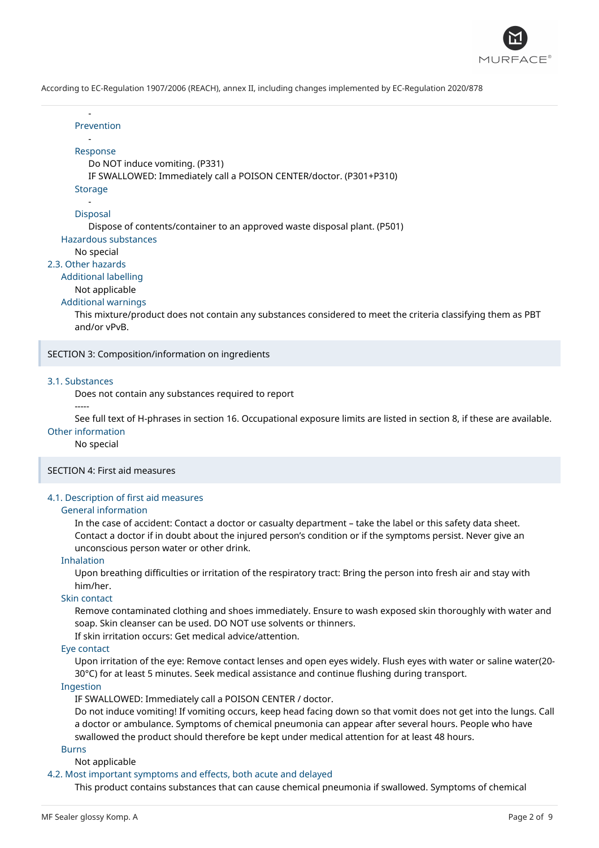

#### Prevention

-

#### - Response

Do NOT induce vomiting. (P331)

IF SWALLOWED: Immediately call a POISON CENTER/doctor. (P301+P310)

**Storage** 

#### - Disposal

Dispose of contents/container to an approved waste disposal plant. (P501)

Hazardous substances

# No special

# 2.3. Other hazards

# Additional labelling

Not applicable

# Additional warnings

This mixture/product does not contain any substances considered to meet the criteria classifying them as PBT and/or vPvB.

SECTION 3: Composition/information on ingredients

#### 3.1. Substances

-----

Does not contain any substances required to report

See full text of H-phrases in section 16. Occupational exposure limits are listed in section 8, if these are available.

## Other information

No special

# SECTION 4: First aid measures

# 4.1. Description of first aid measures

#### General information

In the case of accident: Contact a doctor or casualty department – take the label or this safety data sheet. Contact a doctor if in doubt about the injured person's condition or if the symptoms persist. Never give an unconscious person water or other drink.

#### Inhalation

Upon breathing difficulties or irritation of the respiratory tract: Bring the person into fresh air and stay with him/her.

## Skin contact

Remove contaminated clothing and shoes immediately. Ensure to wash exposed skin thoroughly with water and soap. Skin cleanser can be used. DO NOT use solvents or thinners.

If skin irritation occurs: Get medical advice/attention.

# Eye contact

Upon irritation of the eye: Remove contact lenses and open eyes widely. Flush eyes with water or saline water(20- 30°C) for at least 5 minutes. Seek medical assistance and continue flushing during transport.

#### Ingestion

IF SWALLOWED: Immediately call a POISON CENTER / doctor.

Do not induce vomiting! If vomiting occurs, keep head facing down so that vomit does not get into the lungs. Call a doctor or ambulance. Symptoms of chemical pneumonia can appear after several hours. People who have swallowed the product should therefore be kept under medical attention for at least 48 hours.

# Burns

# Not applicable

# 4.2. Most important symptoms and effects, both acute and delayed

This product contains substances that can cause chemical pneumonia if swallowed. Symptoms of chemical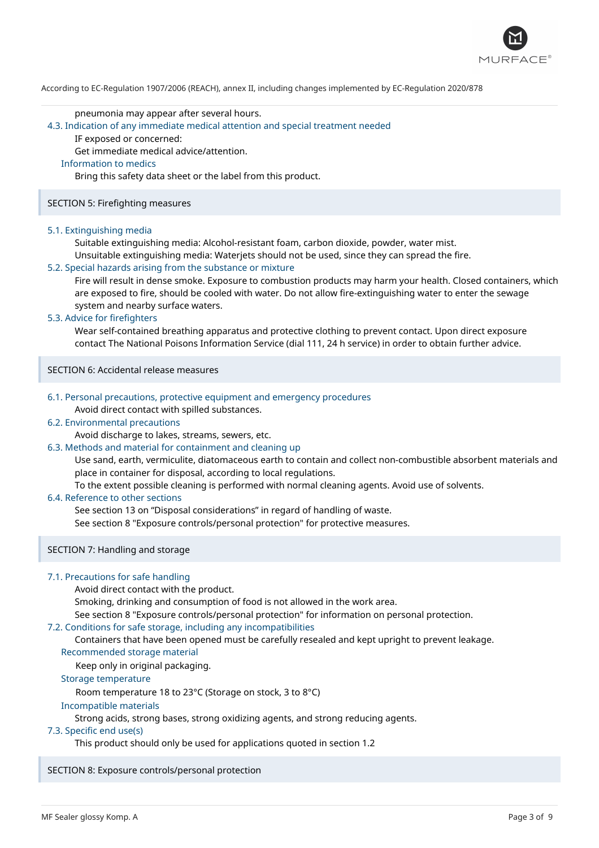

#### pneumonia may appear after several hours.

#### 4.3. Indication of any immediate medical attention and special treatment needed

IF exposed or concerned:

Get immediate medical advice/attention.

## Information to medics

Bring this safety data sheet or the label from this product.

#### SECTION 5: Firefighting measures

#### 5.1. Extinguishing media

Suitable extinguishing media: Alcohol-resistant foam, carbon dioxide, powder, water mist.

Unsuitable extinguishing media: Waterjets should not be used, since they can spread the fire.

# 5.2. Special hazards arising from the substance or mixture

Fire will result in dense smoke. Exposure to combustion products may harm your health. Closed containers, which are exposed to fire, should be cooled with water. Do not allow fire-extinguishing water to enter the sewage system and nearby surface waters.

#### 5.3. Advice for firefighters

Wear self-contained breathing apparatus and protective clothing to prevent contact. Upon direct exposure contact The National Poisons Information Service (dial 111, 24 h service) in order to obtain further advice.

SECTION 6: Accidental release measures

# 6.1. Personal precautions, protective equipment and emergency procedures

Avoid direct contact with spilled substances.

# 6.2. Environmental precautions

Avoid discharge to lakes, streams, sewers, etc.

# 6.3. Methods and material for containment and cleaning up

Use sand, earth, vermiculite, diatomaceous earth to contain and collect non-combustible absorbent materials and place in container for disposal, according to local regulations.

To the extent possible cleaning is performed with normal cleaning agents. Avoid use of solvents.

#### 6.4. Reference to other sections

See section 13 on "Disposal considerations" in regard of handling of waste.

See section 8 "Exposure controls/personal protection" for protective measures.

# SECTION 7: Handling and storage

# 7.1. Precautions for safe handling

Avoid direct contact with the product.

Smoking, drinking and consumption of food is not allowed in the work area.

See section 8 "Exposure controls/personal protection" for information on personal protection.

# 7.2. Conditions for safe storage, including any incompatibilities

Containers that have been opened must be carefully resealed and kept upright to prevent leakage.

Recommended storage material

Keep only in original packaging.

# Storage temperature

Room temperature 18 to 23°C (Storage on stock, 3 to 8°C)

# Incompatible materials

Strong acids, strong bases, strong oxidizing agents, and strong reducing agents.

# 7.3. Specific end use(s)

This product should only be used for applications quoted in section 1.2

# SECTION 8: Exposure controls/personal protection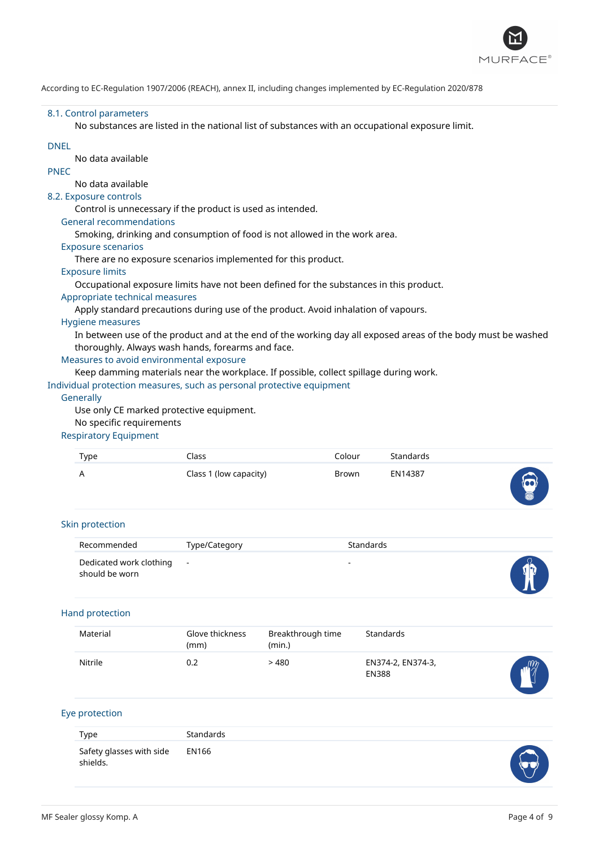

#### 8.1. Control parameters

No substances are listed in the national list of substances with an occupational exposure limit.

## DNEL

No data available PNEC

# No data available

# 8.2. Exposure controls

Control is unnecessary if the product is used as intended.

#### General recommendations

Smoking, drinking and consumption of food is not allowed in the work area.

# Exposure scenarios

There are no exposure scenarios implemented for this product.

#### Exposure limits

Occupational exposure limits have not been defined for the substances in this product.

#### Appropriate technical measures

Apply standard precautions during use of the product. Avoid inhalation of vapours.

#### Hygiene measures

In between use of the product and at the end of the working day all exposed areas of the body must be washed thoroughly. Always wash hands, forearms and face.

# Measures to avoid environmental exposure

Keep damming materials near the workplace. If possible, collect spillage during work.

# Individual protection measures, such as personal protective equipment

#### **Generally**

Use only CE marked protective equipment.

## No specific requirements

# Respiratory Equipment

| Type | Class                  | Colour | Standards |             |
|------|------------------------|--------|-----------|-------------|
| A    | Class 1 (low capacity) | Brown  | EN14387   | $\triangle$ |
|      |                        |        |           |             |

# Skin protection

| Recommended                                 | Type/Category | Standards                |  |
|---------------------------------------------|---------------|--------------------------|--|
| Dedicated work clothing -<br>should be worn |               | $\overline{\phantom{0}}$ |  |

# Hand protection

| Material | Glove thickness<br>(mm) | Breakthrough time<br>(min.) | Standards                         |            |
|----------|-------------------------|-----------------------------|-----------------------------------|------------|
| Nitrile  | 0.2                     | > 480                       | EN374-2, EN374-3,<br><b>EN388</b> | $\sqrt{m}$ |

# Eye protection

| Type                                       | <b>Standards</b> |  |
|--------------------------------------------|------------------|--|
| Safety glasses with side EN166<br>shields. |                  |  |

 $\cup$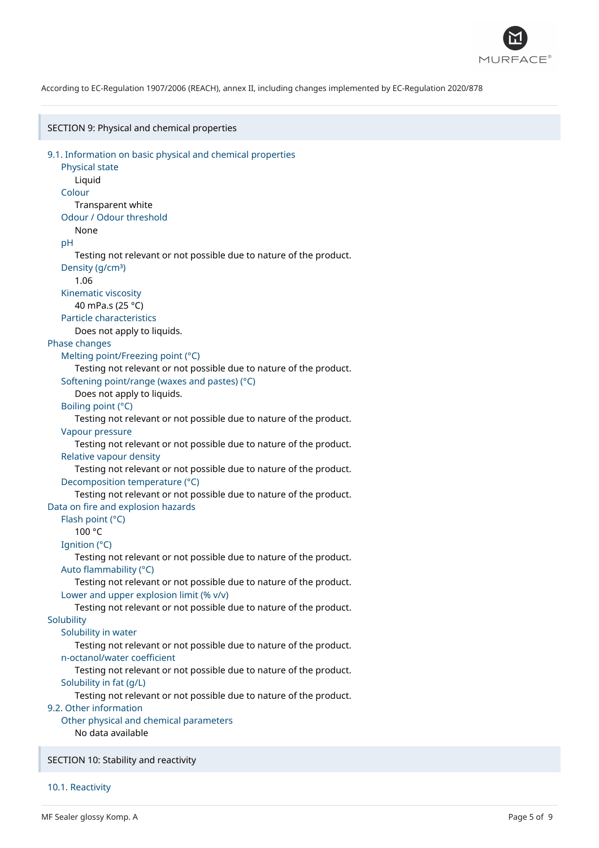

SECTION 9: Physical and chemical properties 9.1. Information on basic physical and chemical properties Physical state Liquid Colour Transparent white Odour / Odour threshold None pH Testing not relevant or not possible due to nature of the product. Density (g/cm<sup>3</sup>) 1.06 Kinematic viscosity 40 mPa.s (25 °C) Particle characteristics Does not apply to liquids. Phase changes Melting point/Freezing point (°C) Testing not relevant or not possible due to nature of the product. Softening point/range (waxes and pastes) (°C) Does not apply to liquids. Boiling point (°C) Testing not relevant or not possible due to nature of the product. Vapour pressure Testing not relevant or not possible due to nature of the product. Relative vapour density Testing not relevant or not possible due to nature of the product. Decomposition temperature (°C) Testing not relevant or not possible due to nature of the product. Data on fire and explosion hazards Flash point (°C) 100 °C Ignition (°C) Testing not relevant or not possible due to nature of the product. Auto flammability (°C) Testing not relevant or not possible due to nature of the product. Lower and upper explosion limit (% v/v) Testing not relevant or not possible due to nature of the product. **Solubility** Solubility in water Testing not relevant or not possible due to nature of the product. n-octanol/water coefficient Testing not relevant or not possible due to nature of the product. Solubility in fat (g/L) Testing not relevant or not possible due to nature of the product. 9.2. Other information Other physical and chemical parameters No data available SECTION 10: Stability and reactivity

10.1. Reactivity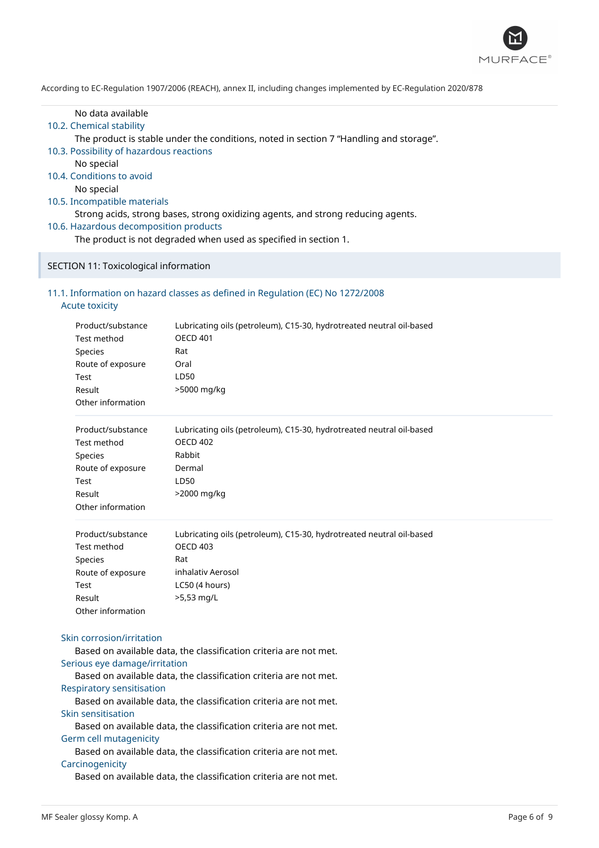

# No data available

# 10.2. Chemical stability

The product is stable under the conditions, noted in section 7 "Handling and storage".

- 10.3. Possibility of hazardous reactions
	- No special
- 10.4. Conditions to avoid

No special

10.5. Incompatible materials

Strong acids, strong bases, strong oxidizing agents, and strong reducing agents.

10.6. Hazardous decomposition products

The product is not degraded when used as specified in section 1.

## SECTION 11: Toxicological information

# 11.1. Information on hazard classes as defined in Regulation (EC) No 1272/2008

| <b>Acute toxicity</b> |  |  |
|-----------------------|--|--|
|                       |  |  |
|                       |  |  |

|                                            | Product/substance                                                 | Lubricating oils (petroleum), C15-30, hydrotreated neutral oil-based |  |
|--------------------------------------------|-------------------------------------------------------------------|----------------------------------------------------------------------|--|
|                                            | Test method                                                       | <b>OECD 401</b>                                                      |  |
|                                            | Species                                                           | Rat                                                                  |  |
| Route of exposure<br><b>Test</b><br>Result |                                                                   | Oral                                                                 |  |
|                                            |                                                                   | LD50                                                                 |  |
|                                            |                                                                   | >5000 mg/kg                                                          |  |
|                                            | Other information                                                 |                                                                      |  |
|                                            | Product/substance                                                 | Lubricating oils (petroleum), C15-30, hydrotreated neutral oil-based |  |
|                                            | Test method                                                       | <b>OECD 402</b>                                                      |  |
|                                            | Species                                                           | Rabbit                                                               |  |
|                                            | Route of exposure                                                 | Dermal                                                               |  |
|                                            | Test                                                              | LD50                                                                 |  |
|                                            | Result                                                            | >2000 mg/kg                                                          |  |
|                                            | Other information                                                 |                                                                      |  |
|                                            | Product/substance                                                 | Lubricating oils (petroleum), C15-30, hydrotreated neutral oil-based |  |
|                                            | <b>Test method</b>                                                | <b>OECD 403</b>                                                      |  |
|                                            | Species                                                           | Rat                                                                  |  |
|                                            | Route of exposure                                                 | inhalativ Aerosol                                                    |  |
|                                            | <b>Test</b>                                                       | LC50 (4 hours)                                                       |  |
|                                            | Result                                                            | >5,53 mg/L                                                           |  |
|                                            | Other information                                                 |                                                                      |  |
|                                            | Skin corrosion/irritation                                         |                                                                      |  |
|                                            |                                                                   | Based on available data, the classification criteria are not met.    |  |
|                                            | Serious eye damage/irritation                                     |                                                                      |  |
|                                            |                                                                   | Based on available data, the classification criteria are not met.    |  |
|                                            | <b>Respiratory sensitisation</b>                                  |                                                                      |  |
|                                            |                                                                   | Based on available data, the classification criteria are not met.    |  |
|                                            | Skin sensitisation                                                |                                                                      |  |
|                                            | Based on available data, the classification criteria are not met. |                                                                      |  |
|                                            | Germ cell mutagenicity                                            |                                                                      |  |
|                                            |                                                                   | Based on available data, the classification criteria are not met.    |  |
|                                            | Carcinogenicity                                                   |                                                                      |  |
|                                            |                                                                   | Based on available data, the classification criteria are not met.    |  |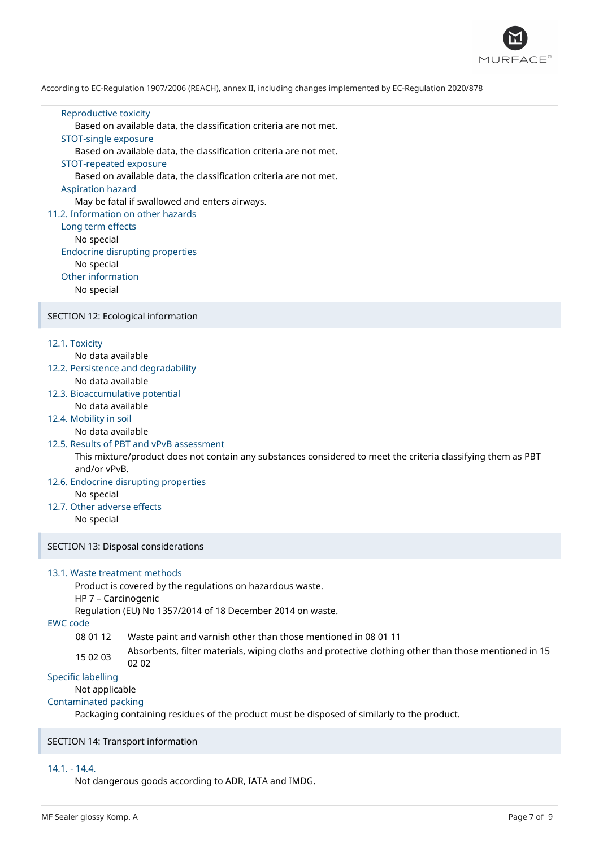

#### Reproductive toxicity

Based on available data, the classification criteria are not met.

#### STOT-single exposure

Based on available data, the classification criteria are not met.

#### STOT-repeated exposure

Based on available data, the classification criteria are not met.

#### Aspiration hazard

May be fatal if swallowed and enters airways.

# 11.2. Information on other hazards

Long term effects No special Endocrine disrupting properties No special Other information No special

#### SECTION 12: Ecological information

#### 12.1. Toxicity

No data available

- 12.2. Persistence and degradability No data available
- 12.3. Bioaccumulative potential No data available

# 12.4. Mobility in soil

No data available

# 12.5. Results of PBT and vPvB assessment

This mixture/product does not contain any substances considered to meet the criteria classifying them as PBT and/or vPvB.

# 12.6. Endocrine disrupting properties

No special

## 12.7. Other adverse effects No special

SECTION 13: Disposal considerations

# 13.1. Waste treatment methods

Product is covered by the regulations on hazardous waste.

# HP 7 – Carcinogenic

Regulation (EU) No 1357/2014 of 18 December 2014 on waste.

# EWC code

08 01 12 Waste paint and varnish other than those mentioned in 08 01 11

15 02 03 Absorbents, filter materials, wiping cloths and protective clothing other than those mentioned in 15 02 02

# Specific labelling

# Not applicable

# Contaminated packing

Packaging containing residues of the product must be disposed of similarly to the product.

# SECTION 14: Transport information

#### 14.1. - 14.4.

Not dangerous goods according to ADR, IATA and IMDG.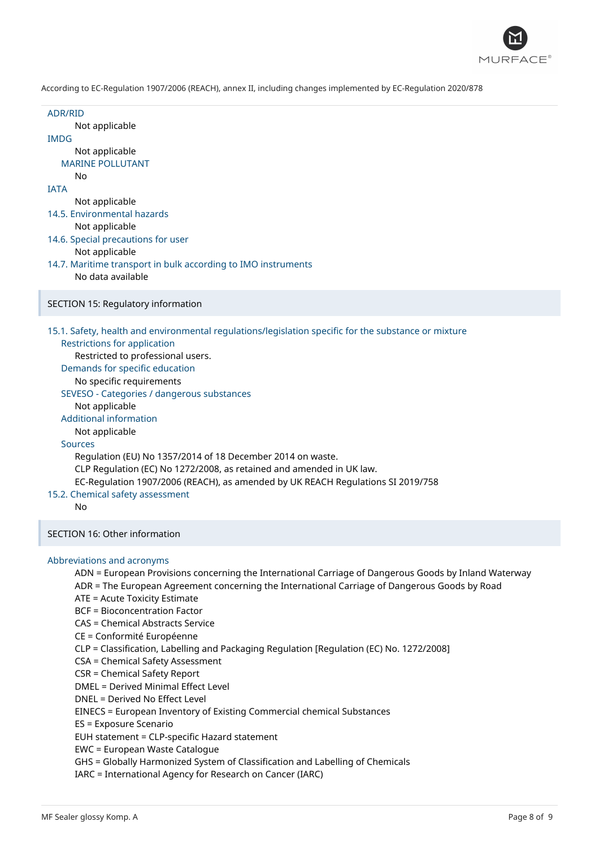

ADR/RID Not applicable IMDG Not applicable MARINE POLLUTANT No IATA Not applicable 14.5. Environmental hazards Not applicable 14.6. Special precautions for user Not applicable 14.7. Maritime transport in bulk according to IMO instruments No data available SECTION 15: Regulatory information 15.1. Safety, health and environmental regulations/legislation specific for the substance or mixture Restrictions for application Restricted to professional users. Demands for specific education No specific requirements SEVESO - Categories / dangerous substances Not applicable Additional information Not applicable Sources Regulation (EU) No 1357/2014 of 18 December 2014 on waste. CLP Regulation (EC) No 1272/2008, as retained and amended in UK law. EC-Regulation 1907/2006 (REACH), as amended by UK REACH Regulations SI 2019/758 15.2. Chemical safety assessment No SECTION 16: Other information Abbreviations and acronyms ADN = European Provisions concerning the International Carriage of Dangerous Goods by Inland Waterway ADR = The European Agreement concerning the International Carriage of Dangerous Goods by Road ATE = Acute Toxicity Estimate BCF = Bioconcentration Factor CAS = Chemical Abstracts Service CE = Conformité Européenne CLP = Classification, Labelling and Packaging Regulation [Regulation (EC) No. 1272/2008] CSA = Chemical Safety Assessment CSR = Chemical Safety Report DMEL = Derived Minimal Effect Level

DNEL = Derived No Effect Level

EINECS = European Inventory of Existing Commercial chemical Substances

ES = Exposure Scenario

EUH statement = CLP-specific Hazard statement

EWC = European Waste Catalogue

GHS = Globally Harmonized System of Classification and Labelling of Chemicals

IARC = International Agency for Research on Cancer (IARC)